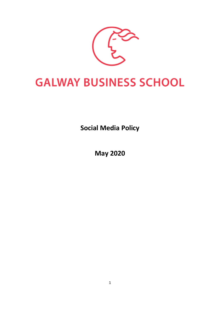

# **GALWAY BUSINESS SCHOOL**

**Social Media Policy**

**May 2020**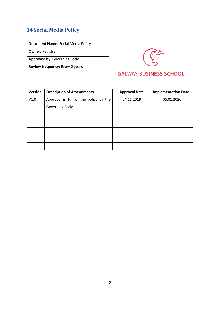## **14 Social Media Policy**

**Owner:** Registrar

**Approved by:** Governing Body

**Review frequency:** Every 2 years



| <b>Version</b> | <b>Description of Amendments</b>      | <b>Approval Date</b> | <b>Implementation Date</b> |
|----------------|---------------------------------------|----------------------|----------------------------|
| V1.0           | Approval in full of the policy by the | 04.11.2019           | 06.01.2020                 |
|                | Governing Body                        |                      |                            |
|                |                                       |                      |                            |
|                |                                       |                      |                            |
|                |                                       |                      |                            |
|                |                                       |                      |                            |
|                |                                       |                      |                            |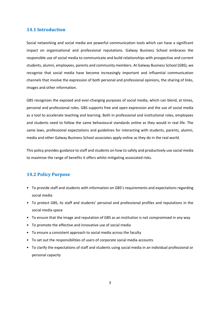#### **14.1 Introduction**

Social networking and social media are powerful communication tools which can have a significant impact on organisational and professional reputations. Galway Business School embraces the responsible use of social media to communicate and build relationships with prospective and current students, alumni, employees, parents and community members. At Galway Business School (GBS), we recognise that social media have become increasingly important and influential communication channels that involve the expression of both personal and professional opinions, the sharing of links, images and other information.

GBS recognizes the exposed and ever-changing purposes of social media, which can blend, at times, personal and professional roles. GBS supports free and open expression and the use of social media as a tool to accelerate teaching and learning. Both in professional and institutional roles, employees and students need to follow the same behavioural standards online as they would in real life. The same laws, professional expectations and guidelines for interacting with students, parents, alumni, media and other Galway Business School associates apply online as they do in the real world.

This policy provides guidance to staff and students on how to safely and productively use social media to maximise the range of benefits it offers whilst mitigating associated risks.

#### **14.2 Policy Purpose**

- To provide staff and students with information on GBS's requirements and expectations regarding social media
- To protect GBS, its staff and students' personal and professional profiles and reputations in the social media space
- To ensure that the image and reputation of GBS as an institution is not compromised in any way
- To promote the effective and innovative use of social media
- To ensure a consistent approach to social media across the faculty
- To set out the responsibilities of users of corporate social media accounts
- To clarify the expectations of staff and students using social media in an individual professional or personal capacity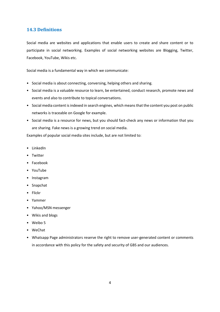#### **14.3 Definitions**

Social media are websites and applications that enable users to create and share content or to participate in social networking. Examples of social networking websites are Blogging, Twitter, Facebook, YouTube, Wikis etc.

Social media is a fundamental way in which we communicate:

- Social media is about connecting, conversing, helping others and sharing.
- Social media is a valuable resource to learn, be entertained, conduct research, promote news and events and also to contribute to topical conversations.
- Social media content is indexed in search engines, which means that the content you post on public networks is traceable on Google for example.
- Social media is a resource for news, but you should fact-check any news or information that you are sharing. Fake news is a growing trend on social media.

Examples of popular social media sites include, but are not limited to:

- LinkedIn
- Twitter
- Facebook
- YouTube
- Instagram
- Snapchat
- Flickr
- Yammer
- Yahoo/MSN messenger
- Wikis and blogs
- Weibo 5
- WeChat
- Whatsapp Page administrators reserve the right to remove user-generated content or comments in accordance with this policy for the safety and security of GBS and our audiences.